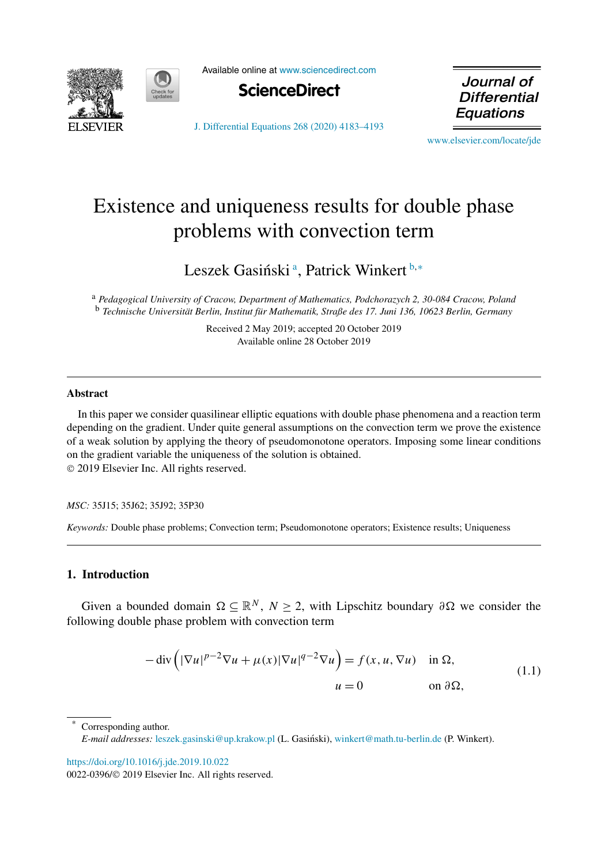<span id="page-0-0"></span>

Available online at [www.sciencedirect.com](http://www.sciencedirect.com)



Journal of **Differential** Equations

[J. Differential Equations 268 \(2020\) 4183–4193](https://doi.org/10.1016/j.jde.2019.10.022)

[www.elsevier.com/locate/jde](http://www.elsevier.com/locate/jde)

# Existence and uniqueness results for double phase problems with convection term

Leszek Gasiński<sup>a</sup>, Patrick Winkert<sup>b,∗</sup>

<sup>a</sup> *Pedagogical University of Cracow, Department of Mathematics, Podchorazych 2, 30-084 Cracow, Poland* <sup>b</sup> *Technische Universität Berlin, Institut für Mathematik, Straße des 17. Juni 136, 10623 Berlin, Germany*

> Received 2 May 2019; accepted 20 October 2019 Available online 28 October 2019

#### **Abstract**

In this paper we consider quasilinear elliptic equations with double phase phenomena and a reaction term depending on the gradient. Under quite general assumptions on the convection term we prove the existence of a weak solution by applying the theory of pseudomonotone operators. Imposing some linear conditions on the gradient variable the uniqueness of the solution is obtained. © 2019 Elsevier Inc. All rights reserved.

*MSC:* 35J15; 35J62; 35J92; 35P30

*Keywords:* Double phase problems; Convection term; Pseudomonotone operators; Existence results; Uniqueness

# **1. Introduction**

Given a bounded domain  $\Omega \subseteq \mathbb{R}^N$ ,  $N \geq 2$ , with Lipschitz boundary  $\partial \Omega$  we consider the following double phase problem with convection term

$$
-\operatorname{div}\left(|\nabla u|^{p-2}\nabla u + \mu(x)|\nabla u|^{q-2}\nabla u\right) = f(x, u, \nabla u) \quad \text{in } \Omega,
$$
  
\n
$$
u = 0 \qquad \text{on } \partial\Omega,
$$
\n(1.1)

Corresponding author. *E-mail addresses*: [leszek.gasinski@up.krakow.pl](mailto:leszek.gasinski@up.krakow.pl) (L. Gasiński), [winkert@math.tu-berlin.de](mailto:winkert@math.tu-berlin.de) (P. Winkert).

<https://doi.org/10.1016/j.jde.2019.10.022>

0022-0396/© 2019 Elsevier Inc. All rights reserved.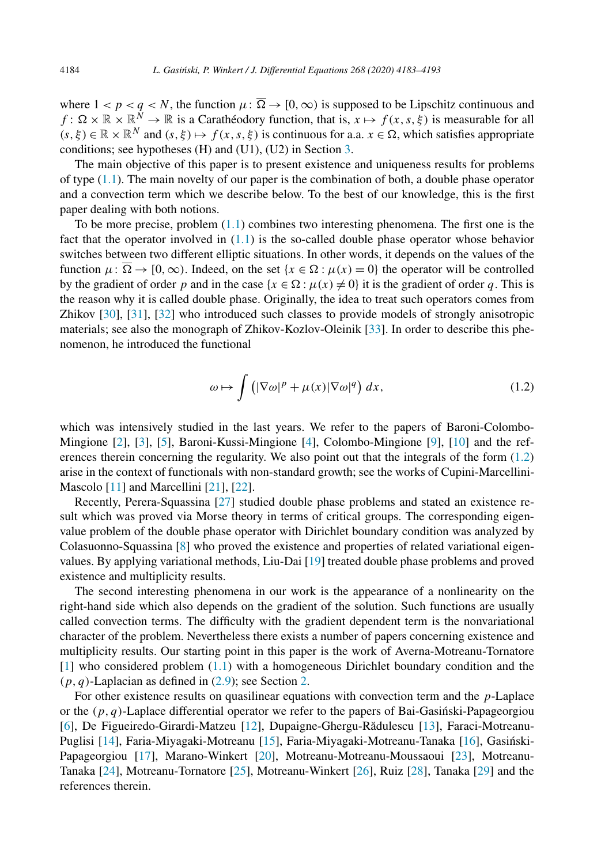where  $1 < p < q < N$ , the function  $\mu : \Omega \to [0, \infty)$  is supposed to be Lipschitz continuous and  $f: \Omega \times \mathbb{R} \times \mathbb{R}^N \to \mathbb{R}$  is a Carathéodory function, that is,  $x \mapsto f(x, s, \xi)$  is measurable for all  $(s, \xi) \in \mathbb{R} \times \mathbb{R}^N$  and  $(s, \xi) \mapsto f(x, s, \xi)$  is continuous for a.a.  $x \in \Omega$ , which satisfies appropriate conditions; see hypotheses (H) and (U1), (U2) in Section [3.](#page-5-0)

The main objective of this paper is to present existence and uniqueness results for problems of type [\(1.1\)](#page-0-0). The main novelty of our paper is the combination of both, a double phase operator and a convection term which we describe below. To the best of our knowledge, this is the first paper dealing with both notions.

To be more precise, problem  $(1.1)$  combines two interesting phenomena. The first one is the fact that the operator involved in  $(1.1)$  is the so-called double phase operator whose behavior switches between two different elliptic situations. In other words, it depends on the values of the function  $\mu: \overline{\Omega} \to [0, \infty)$ . Indeed, on the set  $\{x \in \Omega : \mu(x) = 0\}$  the operator will be controlled by the gradient of order *p* and in the case  $\{x \in \Omega : \mu(x) \neq 0\}$  it is the gradient of order *q*. This is the reason why it is called double phase. Originally, the idea to treat such operators comes from Zhikov [\[30\]](#page-10-0), [\[31\]](#page-10-0), [\[32\]](#page-10-0) who introduced such classes to provide models of strongly anisotropic materials; see also the monograph of Zhikov-Kozlov-Oleinik [\[33\]](#page-10-0). In order to describe this phenomenon, he introduced the functional

$$
\omega \mapsto \int \left( |\nabla \omega|^p + \mu(x) |\nabla \omega|^q \right) dx, \tag{1.2}
$$

which was intensively studied in the last years. We refer to the papers of Baroni-Colombo-Mingione [\[2\]](#page-9-0), [\[3\]](#page-9-0), [\[5\]](#page-9-0), Baroni-Kussi-Mingione [\[4\]](#page-9-0), Colombo-Mingione [\[9\]](#page-9-0), [\[10\]](#page-10-0) and the references therein concerning the regularity. We also point out that the integrals of the form (1.2) arise in the context of functionals with non-standard growth; see the works of Cupini-Marcellini-Mascolo [\[11\]](#page-10-0) and Marcellini [\[21\]](#page-10-0), [\[22\]](#page-10-0).

Recently, Perera-Squassina [\[27\]](#page-10-0) studied double phase problems and stated an existence result which was proved via Morse theory in terms of critical groups. The corresponding eigenvalue problem of the double phase operator with Dirichlet boundary condition was analyzed by Colasuonno-Squassina [\[8\]](#page-9-0) who proved the existence and properties of related variational eigenvalues. By applying variational methods, Liu-Dai [\[19\]](#page-10-0) treated double phase problems and proved existence and multiplicity results.

The second interesting phenomena in our work is the appearance of a nonlinearity on the right-hand side which also depends on the gradient of the solution. Such functions are usually called convection terms. The difficulty with the gradient dependent term is the nonvariational character of the problem. Nevertheless there exists a number of papers concerning existence and multiplicity results. Our starting point in this paper is the work of Averna-Motreanu-Tornatore [\[1\]](#page-9-0) who considered problem [\(1.1\)](#page-0-0) with a homogeneous Dirichlet boundary condition and the  $(p, q)$ -Laplacian as defined in  $(2.9)$ ; see Section [2.](#page-2-0)

For other existence results on quasilinear equations with convection term and the *p*-Laplace or the  $(p, q)$ -Laplace differential operator we refer to the papers of Bai-Gasinski-Papageorgiou [\[6\]](#page-9-0), De Figueiredo-Girardi-Matzeu [\[12\]](#page-10-0), Dupaigne-Ghergu-Rădulescu [\[13\]](#page-10-0), Faraci-Motreanu-Puglisi [\[14\]](#page-10-0), Faria-Miyagaki-Motreanu [\[15\]](#page-10-0), Faria-Miyagaki-Motreanu-Tanaka [\[16\]](#page-10-0), Gasinski- ´ Papageorgiou [\[17\]](#page-10-0), Marano-Winkert [\[20\]](#page-10-0), Motreanu-Motreanu-Moussaoui [\[23\]](#page-10-0), Motreanu-Tanaka [\[24\]](#page-10-0), Motreanu-Tornatore [\[25\]](#page-10-0), Motreanu-Winkert [\[26\]](#page-10-0), Ruiz [\[28\]](#page-10-0), Tanaka [\[29\]](#page-10-0) and the references therein.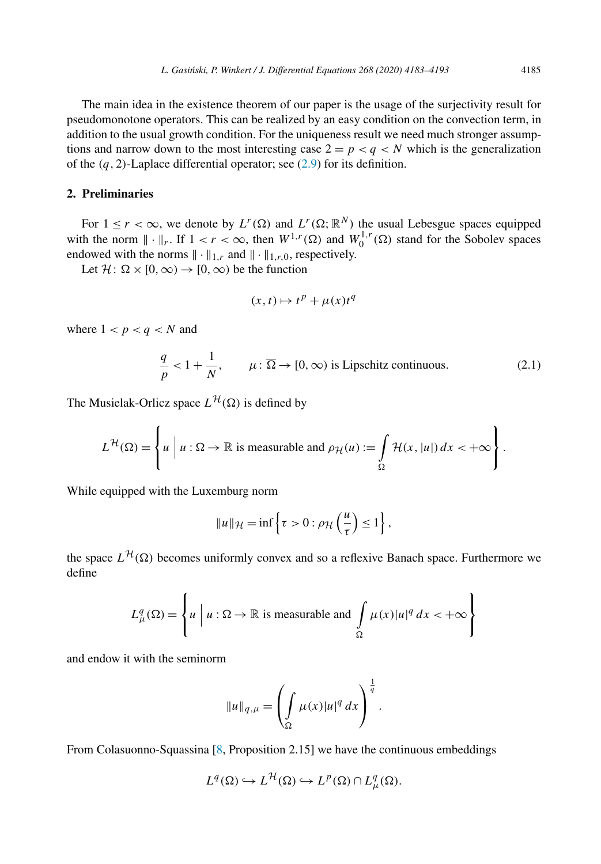<span id="page-2-0"></span>The main idea in the existence theorem of our paper is the usage of the surjectivity result for pseudomonotone operators. This can be realized by an easy condition on the convection term, in addition to the usual growth condition. For the uniqueness result we need much stronger assumptions and narrow down to the most interesting case  $2 = p < q < N$  which is the generalization of the  $(q, 2)$ -Laplace differential operator; see  $(2.9)$  for its definition.

# **2. Preliminaries**

For  $1 \leq r < \infty$ , we denote by  $L^r(\Omega)$  and  $L^r(\Omega; \mathbb{R}^N)$  the usual Lebesgue spaces equipped with the norm  $\|\cdot\|_r$ . If  $1 < r < \infty$ , then  $W^{1,r}(\Omega)$  and  $W_0^{1,r}(\Omega)$  stand for the Sobolev spaces endowed with the norms  $\|\cdot\|_{1,r}$  and  $\|\cdot\|_{1,r,0}$ , respectively.

Let  $\mathcal{H}$ :  $\Omega \times [0, \infty) \to [0, \infty)$  be the function

$$
(x,t) \mapsto t^p + \mu(x)t^q
$$

where  $1 < p < q < N$  and

$$
\frac{q}{p} < 1 + \frac{1}{N}, \qquad \mu \colon \overline{\Omega} \to [0, \infty) \text{ is Lipschitz continuous.} \tag{2.1}
$$

The Musielak-Orlicz space  $L^{\mathcal{H}}(\Omega)$  is defined by

$$
L^{\mathcal{H}}(\Omega) = \left\{ u \mid u : \Omega \to \mathbb{R} \text{ is measurable and } \rho_{\mathcal{H}}(u) := \int_{\Omega} \mathcal{H}(x, |u|) dx < +\infty \right\}.
$$

While equipped with the Luxemburg norm

$$
||u||_{\mathcal{H}} = \inf \left\{ \tau > 0 : \rho_{\mathcal{H}} \left( \frac{u}{\tau} \right) \le 1 \right\},\
$$

the space  $L^{H}(\Omega)$  becomes uniformly convex and so a reflexive Banach space. Furthermore we define

$$
L_{\mu}^{q}(\Omega) = \left\{ u \mid u : \Omega \to \mathbb{R} \text{ is measurable and } \int_{\Omega} \mu(x) |u|^{q} dx < +\infty \right\}
$$

and endow it with the seminorm

$$
||u||_{q,\mu} = \left(\int_{\Omega} \mu(x)|u|^q \, dx\right)^{\frac{1}{q}}.
$$

From Colasuonno-Squassina [\[8,](#page-9-0) Proposition 2.15] we have the continuous embeddings

 $\ddot{\phantom{a}}$ 

$$
L^{q}(\Omega) \hookrightarrow L^{\mathcal{H}}(\Omega) \hookrightarrow L^{p}(\Omega) \cap L^{q}_{\mu}(\Omega).
$$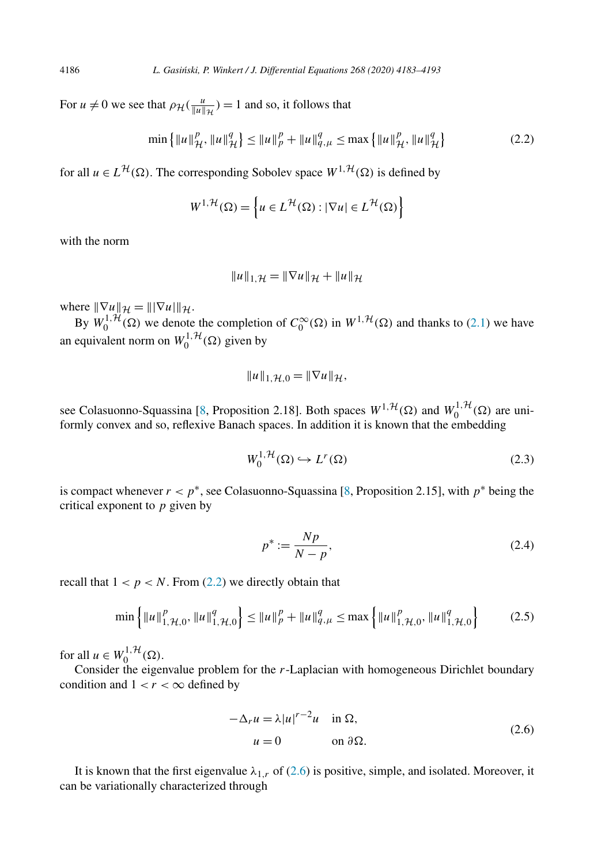For  $u \neq 0$  we see that  $\rho_H(\frac{u}{\|u\|_{\mathcal{H}}}) = 1$  and so, it follows that

$$
\min\left\{\|u\|_{\mathcal{H}}^p, \|u\|_{\mathcal{H}}^q\right\} \le \|u\|_p^p + \|u\|_{q,\mu}^q \le \max\left\{\|u\|_{\mathcal{H}}^p, \|u\|_{\mathcal{H}}^q\right\} \tag{2.2}
$$

for all  $u \in L^{\mathcal{H}}(\Omega)$ . The corresponding Sobolev space  $W^{1,\mathcal{H}}(\Omega)$  is defined by

$$
W^{1,\mathcal{H}}(\Omega) = \left\{ u \in L^{\mathcal{H}}(\Omega) : |\nabla u| \in L^{\mathcal{H}}(\Omega) \right\}
$$

with the norm

$$
||u||_{1,\mathcal{H}} = ||\nabla u||_{\mathcal{H}} + ||u||_{\mathcal{H}}
$$

where  $\|\nabla u\|_{\mathcal{H}} = \|\nabla u\|_{\mathcal{H}}$ .

By  $W_0^{1, H}(\Omega)$  we denote the completion of  $C_0^{\infty}(\Omega)$  in  $W^{1, H}(\Omega)$  and thanks to [\(2.1\)](#page-2-0) we have an equivalent norm on  $W_0^{1, H}(\Omega)$  given by

$$
||u||_{1,\mathcal{H},0}=||\nabla u||_{\mathcal{H}},
$$

see Colasuonno-Squassina [\[8,](#page-9-0) Proposition 2.18]. Both spaces  $W^{1, H}(\Omega)$  and  $W_0^{1, H}(\Omega)$  are uniformly convex and so, reflexive Banach spaces. In addition it is known that the embedding

$$
W_0^{1, \mathcal{H}}(\Omega) \hookrightarrow L^r(\Omega) \tag{2.3}
$$

is compact whenever  $r < p^*$ , see Colasuonno-Squassina [\[8,](#page-9-0) Proposition 2.15], with  $p^*$  being the critical exponent to *p* given by

$$
p^* := \frac{Np}{N - p},\tag{2.4}
$$

recall that  $1 < p < N$ . From (2.2) we directly obtain that

$$
\min\left\{\|u\|_{1,\mathcal{H},0}^p, \|u\|_{1,\mathcal{H},0}^q\right\} \le \|u\|_p^p + \|u\|_{q,\mu}^q \le \max\left\{\|u\|_{1,\mathcal{H},0}^p, \|u\|_{1,\mathcal{H},0}^q\right\} \tag{2.5}
$$

for all  $u \in W_0^{1, \mathcal{H}}(\Omega)$ .

Consider the eigenvalue problem for the *r*-Laplacian with homogeneous Dirichlet boundary condition and  $1 < r < \infty$  defined by

$$
-\Delta_r u = \lambda |u|^{r-2}u \quad \text{in } \Omega,
$$
  
 
$$
u = 0 \qquad \text{on } \partial\Omega.
$$
 (2.6)

It is known that the first eigenvalue  $\lambda_{1,r}$  of (2.6) is positive, simple, and isolated. Moreover, it can be variationally characterized through

<span id="page-3-0"></span>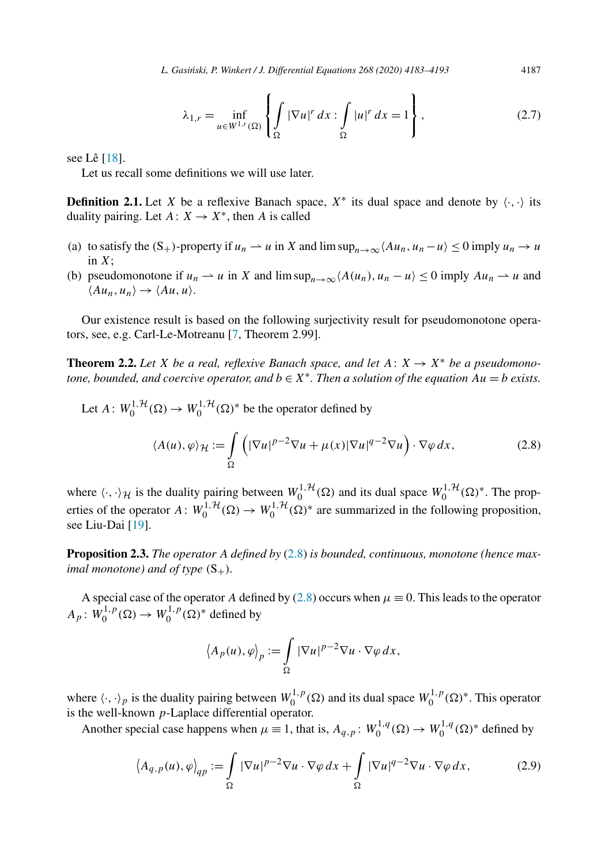$$
\lambda_{1,r} = \inf_{u \in W^{1,r}(\Omega)} \left\{ \int_{\Omega} |\nabla u|^r dx : \int_{\Omega} |u|^r dx = 1 \right\},\tag{2.7}
$$

<span id="page-4-0"></span>see Lê [\[18\]](#page-10-0).

Let us recall some definitions we will use later.

**Definition 2.1.** Let *X* be a reflexive Banach space,  $X^*$  its dual space and denote by  $\langle \cdot, \cdot \rangle$  its duality pairing. Let  $A: X \rightarrow X^*$ , then *A* is called

- (a) to satisfy the  $(S_+)$ -property if  $u_n \rightharpoonup u$  in *X* and lim  $\sup_{n\to\infty} \langle Au_n, u_n u \rangle \leq 0$  imply  $u_n \to u$ in *X*;
- (b) pseudomonotone if  $u_n \rightharpoonup u$  in X and  $\limsup_{n \to \infty} \langle A(u_n), u_n u \rangle \le 0$  imply  $Au_n \rightharpoonup u$  and  $\langle Au_n, u_n \rangle \rightarrow \langle Au, u \rangle$ .

Our existence result is based on the following surjectivity result for pseudomonotone operators, see, e.g. Carl-Le-Motreanu [\[7,](#page-9-0) Theorem 2.99].

**Theorem 2.2.** Let X be a real, reflexive Banach space, and let  $A: X \rightarrow X^*$  be a pseudomono*tone, bounded, and coercive operator, and*  $b \in X^*$ *. Then a solution of the equation*  $Au = b$  *exists.* 

Let 
$$
A: W_0^{1, H}(\Omega) \to W_0^{1, H}(\Omega)^*
$$
 be the operator defined by  
\n
$$
\langle A(u), \varphi \rangle_{\mathcal{H}} := \int_{\Omega} \left( |\nabla u|^{p-2} \nabla u + \mu(x) |\nabla u|^{q-2} \nabla u \right) \cdot \nabla \varphi \, dx,
$$
\n(2.8)

where  $\langle \cdot, \cdot \rangle_{\mathcal{H}}$  is the duality pairing between  $W_0^{1, \mathcal{H}}(\Omega)$  and its dual space  $W_0^{1, \mathcal{H}}(\Omega)^*$ . The properties of the operator  $A: W_0^{1, H}(\Omega) \to W_0^{1, H}(\Omega)^*$  are summarized in the following proposition, see Liu-Dai [\[19\]](#page-10-0).

**Proposition 2.3.** *The operator A defined by* (2.8) *is bounded, continuous, monotone (hence maximal monotone*) *and of type*  $(S_+)$ *.* 

A special case of the operator *A* defined by (2.8) occurs when  $\mu \equiv 0$ . This leads to the operator  $A_p$ :  $W_0^{1,p}(\Omega) \to W_0^{1,p}(\Omega)^*$  defined by

$$
\langle A_p(u), \varphi \rangle_p := \int\limits_{\Omega} |\nabla u|^{p-2} \nabla u \cdot \nabla \varphi \, dx,
$$

where  $\langle \cdot, \cdot \rangle_p$  is the duality pairing between  $W_0^{1,p}(\Omega)$  and its dual space  $W_0^{1,p}(\Omega)^*$ . This operator is the well-known *p*-Laplace differential operator.

Another special case happens when  $\mu \equiv 1$ , that is,  $A_{q,p}$ :  $W_0^{1,q}(\Omega) \to W_0^{1,q}(\Omega)^*$  defined by

$$
\left\langle A_{q,p}(u), \varphi \right\rangle_{qp} := \int_{\Omega} |\nabla u|^{p-2} \nabla u \cdot \nabla \varphi \, dx + \int_{\Omega} |\nabla u|^{q-2} \nabla u \cdot \nabla \varphi \, dx,\tag{2.9}
$$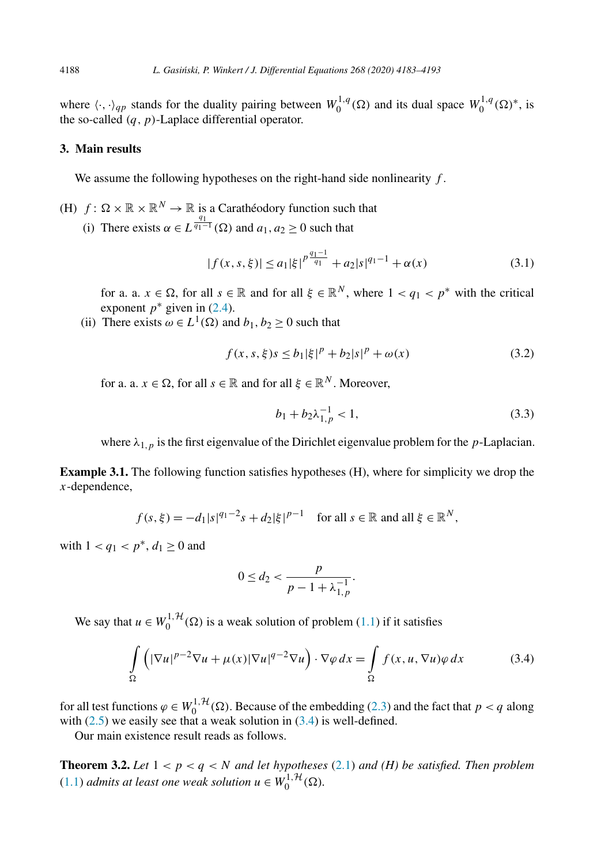<span id="page-5-0"></span>where  $\langle \cdot, \cdot \rangle_{qp}$  stands for the duality pairing between  $W_0^{1,q}(\Omega)$  and its dual space  $W_0^{1,q}(\Omega)^*$ , is the so-called *(q,p)*-Laplace differential operator.

## **3. Main results**

We assume the following hypotheses on the right-hand side nonlinearity *f* .

(H)  $f: \Omega \times \mathbb{R} \times \mathbb{R}^N \to \mathbb{R}$  is a Carathéodory function such that (i) There exists  $\alpha \in L^{\frac{q_1}{q_1-1}}(\Omega)$  and  $a_1, a_2 \ge 0$  such that

$$
|f(x, s, \xi)| \le a_1 |\xi|^{p \frac{q_1 - 1}{q_1}} + a_2 |s|^{q_1 - 1} + \alpha(x)
$$
\n(3.1)

for a. a.  $x \in \Omega$ , for all  $s \in \mathbb{R}$  and for all  $\xi \in \mathbb{R}^N$ , where  $1 < q_1 < p^*$  with the critical exponent  $p^*$  given in [\(2.4\)](#page-3-0).

(ii) There exists  $\omega \in L^1(\Omega)$  and  $b_1, b_2 \ge 0$  such that

$$
f(x, s, \xi)s \le b_1 |\xi|^p + b_2 |s|^p + \omega(x)
$$
\n(3.2)

for a. a.  $x \in \Omega$ , for all  $s \in \mathbb{R}$  and for all  $\xi \in \mathbb{R}^N$ . Moreover,

$$
b_1 + b_2 \lambda_{1,p}^{-1} < 1,\tag{3.3}
$$

where  $\lambda_{1,p}$  is the first eigenvalue of the Dirichlet eigenvalue problem for the *p*-Laplacian.

**Example 3.1.** The following function satisfies hypotheses (H), where for simplicity we drop the *x*-dependence,

$$
f(s,\xi) = -d_1|s|^{q_1-2}s + d_2|\xi|^{p-1}
$$
 for all  $s \in \mathbb{R}$  and all  $\xi \in \mathbb{R}^N$ ,

with  $1 < q_1 < p^*$ ,  $d_1 > 0$  and

$$
0 \le d_2 < \frac{p}{p - 1 + \lambda_{1, p}^{-1}}.
$$

We say that  $u \in W_0^{1, H}(\Omega)$  is a weak solution of problem [\(1.1\)](#page-0-0) if it satisfies

$$
\int_{\Omega} \left( |\nabla u|^{p-2} \nabla u + \mu(x) |\nabla u|^{q-2} \nabla u \right) \cdot \nabla \varphi \, dx = \int_{\Omega} f(x, u, \nabla u) \varphi \, dx \tag{3.4}
$$

for all test functions  $\varphi \in W_0^{1, H}(\Omega)$ . Because of the embedding [\(2.3\)](#page-3-0) and the fact that  $p < q$  along with  $(2.5)$  we easily see that a weak solution in  $(3.4)$  is well-defined.

Our main existence result reads as follows.

**Theorem 3.2.** Let  $1 < p < q < N$  and let hypotheses [\(2.1\)](#page-2-0) and (H) be satisfied. Then problem  $(1.1)$  *admits at least one weak solution*  $u \in W_0^{1, \mathcal{H}}(\Omega)$ *.*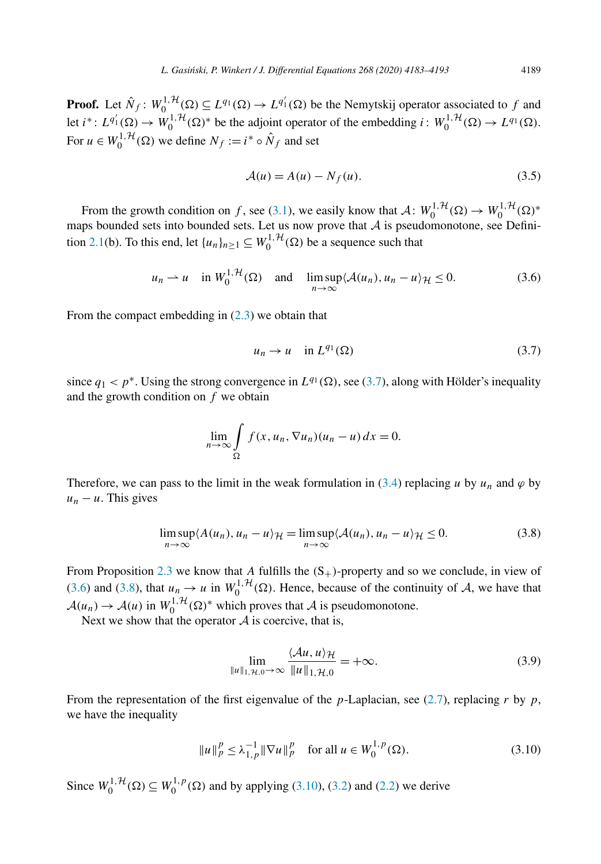<span id="page-6-0"></span>**Proof.** Let  $\hat{N}_f$ :  $W_0^{1,1}(\Omega) \subseteq L^{q_1}(\Omega) \to L^{q'_1}(\Omega)$  be the Nemytskij operator associated to *f* and let  $i^*: L^{q'_1}(\Omega) \to W_0^{1,\mathcal{H}}(\Omega)^*$  be the adjoint operator of the embedding  $i: W_0^{1,\mathcal{H}}(\Omega) \to L^{q_1}(\Omega)$ . For  $u \in W_0^{1, \mathcal{H}}(\Omega)$  we define  $N_f := i^* \circ \hat{N}_f$  and set

$$
\mathcal{A}(u) = A(u) - N_f(u). \tag{3.5}
$$

From the growth condition on *f*, see [\(3.1\)](#page-5-0), we easily know that  $A: W_0^{1, H}(\Omega) \to W_0^{1, H}(\Omega)^*$ maps bounded sets into bounded sets. Let us now prove that  $A$  is pseudomonotone, see Defini-tion [2.1\(](#page-4-0)b). To this end, let  $\{u_n\}_{n\geq 1} \subseteq W_0^{1, \mathcal{H}}(\Omega)$  be a sequence such that

$$
u_n \rightharpoonup u \quad \text{in } W_0^{1, \mathcal{H}}(\Omega) \quad \text{and} \quad \limsup_{n \to \infty} \langle \mathcal{A}(u_n), u_n - u \rangle_{\mathcal{H}} \le 0. \tag{3.6}
$$

From the compact embedding in  $(2.3)$  we obtain that

$$
u_n \to u \quad \text{in } L^{q_1}(\Omega) \tag{3.7}
$$

since  $q_1 < p^*$ . Using the strong convergence in  $L^{q_1}(\Omega)$ , see (3.7), along with Hölder's inequality and the growth condition on *f* we obtain

$$
\lim_{n \to \infty} \int_{\Omega} f(x, u_n, \nabla u_n)(u_n - u) dx = 0.
$$

Therefore, we can pass to the limit in the weak formulation in [\(3.4\)](#page-5-0) replacing *u* by  $u_n$  and  $\varphi$  by  $u_n - u$ . This gives

$$
\limsup_{n \to \infty} \langle A(u_n), u_n - u \rangle_{\mathcal{H}} = \limsup_{n \to \infty} \langle A(u_n), u_n - u \rangle_{\mathcal{H}} \le 0.
$$
 (3.8)

From Proposition [2.3](#page-4-0) we know that A fulfills the  $(S_+)$ -property and so we conclude, in view of (3.6) and (3.8), that  $u_n \to u$  in  $W_0^{1, H}(\Omega)$ . Hence, because of the continuity of A, we have that  $A(u_n) \to A(u)$  in  $W_0^{1,1}(\Omega)$ <sup>\*</sup> which proves that A is pseudomonotone.

Next we show that the operator  $A$  is coercive, that is,

$$
\lim_{\|u\|_{1,\mathcal{H},0}\to\infty} \frac{\langle \mathcal{A}u, u \rangle_{\mathcal{H}}}{\|u\|_{1,\mathcal{H},0}} = +\infty.
$$
 (3.9)

From the representation of the first eigenvalue of the *p*-Laplacian, see [\(2.7\)](#page-4-0), replacing *r* by *p*, we have the inequality

$$
||u||_p^p \le \lambda_{1,p}^{-1} ||\nabla u||_p^p \quad \text{for all } u \in W_0^{1,p}(\Omega). \tag{3.10}
$$

Since  $W_0^{1, H}(\Omega) \subseteq W_0^{1, p}(\Omega)$  and by applying (3.10), [\(3.2\)](#page-5-0) and [\(2.2\)](#page-3-0) we derive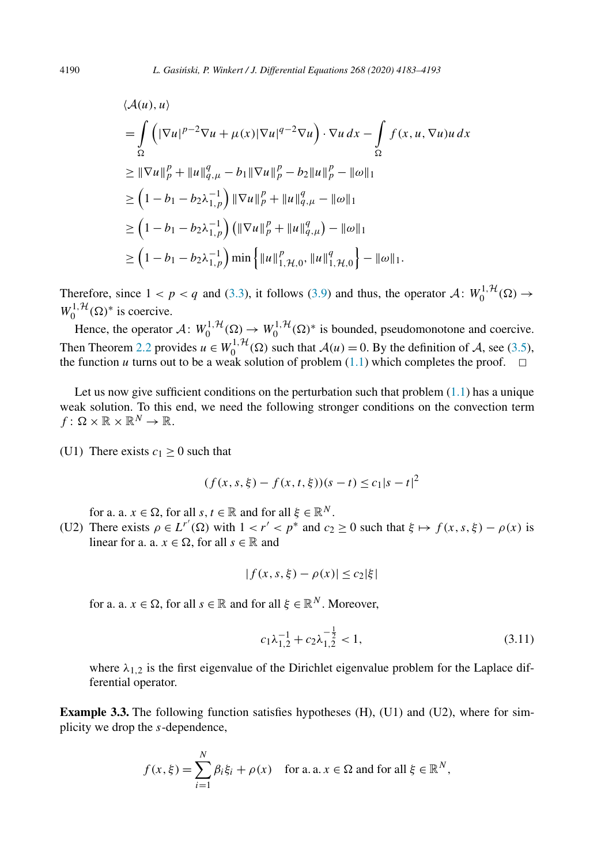$$
\langle A(u), u \rangle
$$
  
=  $\int_{\Omega} (|\nabla u|^{p-2} \nabla u + \mu(x)|\nabla u|^{q-2} \nabla u) \cdot \nabla u \, dx - \int_{\Omega} f(x, u, \nabla u) u \, dx$   

$$
\geq ||\nabla u||_p^p + ||u||_{q,\mu}^q - b_1 ||\nabla u||_p^p - b_2 ||u||_p^p - ||\omega||_1
$$
  

$$
\geq (1 - b_1 - b_2 \lambda_{1,p}^{-1}) ||\nabla u||_p^p + ||u||_{q,\mu}^q - ||\omega||_1
$$
  

$$
\geq (1 - b_1 - b_2 \lambda_{1,p}^{-1}) (||\nabla u||_p^p + ||u||_{q,\mu}^q) - ||\omega||_1
$$
  

$$
\geq (1 - b_1 - b_2 \lambda_{1,p}^{-1}) \min \{ ||u||_{1,\mathcal{H},0}^p, ||u||_{1,\mathcal{H},0}^q\} - ||\omega||_1.
$$

Therefore, since  $1 < p < q$  and [\(3.3\)](#page-5-0), it follows [\(3.9\)](#page-6-0) and thus, the operator  $A: W_0^{1, H}(\Omega) \to$  $W_0^{1, \mathcal{H}}(\Omega)$ <sup>\*</sup> is coercive.

Hence, the operator  $\mathcal{A}: W_0^{1, \mathcal{H}}(\Omega) \to W_0^{1, \mathcal{H}}(\Omega)^*$  is bounded, pseudomonotone and coercive. Then Theorem [2.2](#page-4-0) provides  $u \in W_0^{1, H}(\Omega)$  such that  $A(u) = 0$ . By the definition of A, see [\(3.5\)](#page-6-0), the function *u* turns out to be a weak solution of problem  $(1.1)$  which completes the proof.  $\Box$ 

Let us now give sufficient conditions on the perturbation such that problem  $(1.1)$  has a unique weak solution. To this end, we need the following stronger conditions on the convection term  $f: \Omega \times \mathbb{R} \times \mathbb{R}^N \to \mathbb{R}$ .

(U1) There exists  $c_1 \geq 0$  such that

$$
(f(x, s, \xi) - f(x, t, \xi))(s - t) \le c_1|s - t|^2
$$

for a. a.  $x \in \Omega$ , for all  $s, t \in \mathbb{R}$  and for all  $\xi \in \mathbb{R}^N$ .

(U2) There exists  $\rho \in L^{r'}(\Omega)$  with  $1 < r' < p^*$  and  $c_2 \ge 0$  such that  $\xi \mapsto f(x, s, \xi) - \rho(x)$  is linear for a. a.  $x \in \Omega$ , for all  $s \in \mathbb{R}$  and

$$
|f(x, s, \xi) - \rho(x)| \le c_2 |\xi|
$$

for a. a.  $x \in \Omega$ , for all  $s \in \mathbb{R}$  and for all  $\xi \in \mathbb{R}^N$ . Moreover,

$$
c_1 \lambda_{1,2}^{-1} + c_2 \lambda_{1,2}^{-\frac{1}{2}} < 1,\tag{3.11}
$$

where  $\lambda_{1,2}$  is the first eigenvalue of the Dirichlet eigenvalue problem for the Laplace differential operator.

**Example 3.3.** The following function satisfies hypotheses (H), (U1) and (U2), where for simplicity we drop the *s*-dependence,

$$
f(x,\xi) = \sum_{i=1}^{N} \beta_i \xi_i + \rho(x) \quad \text{for a. a. } x \in \Omega \text{ and for all } \xi \in \mathbb{R}^N,
$$

<span id="page-7-0"></span>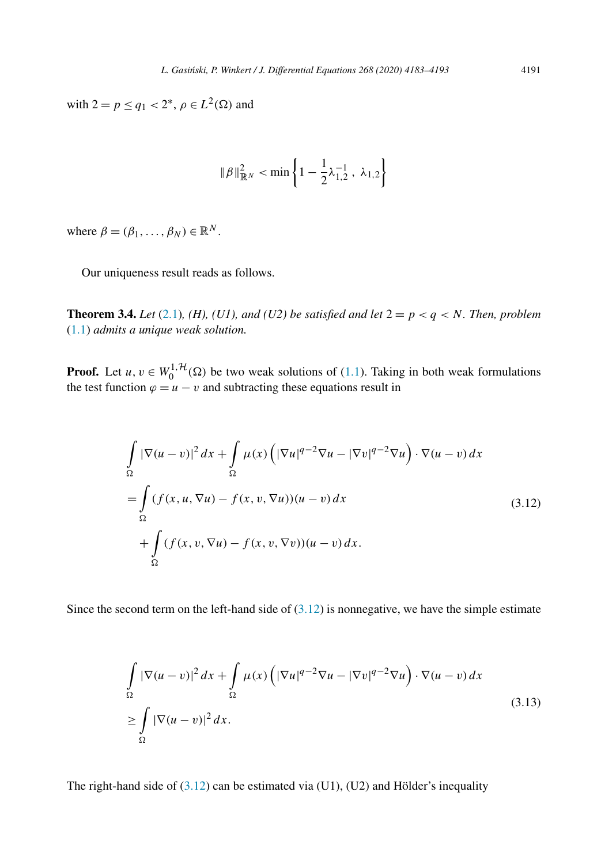<span id="page-8-0"></span> $\text{with } 2 = p \le q_1 < 2^*, \ \rho \in L^2(\Omega) \text{ and }$ 

$$
\|\beta\|_{\mathbb{R}^N}^2 < \min\left\{1 - \frac{1}{2}\lambda_{1,2}^{-1} \,,\ \lambda_{1,2}\right\}
$$

where  $\beta = (\beta_1, \ldots, \beta_N) \in \mathbb{R}^N$ .

Our uniqueness result reads as follows.

**Theorem 3.4.** *Let* [\(2.1\)](#page-2-0)*,* (*H*)*,* (*U1),* and (*U2) be* satisfied and let  $2 = p < q < N$ . Then, problem [\(1.1\)](#page-0-0) *admits a unique weak solution.*

**Proof.** Let  $u, v \in W_0^{1, H}(\Omega)$  be two weak solutions of [\(1.1\)](#page-0-0). Taking in both weak formulations the test function  $\varphi = u - v$  and subtracting these equations result in

$$
\int_{\Omega} |\nabla(u - v)|^2 dx + \int_{\Omega} \mu(x) \left( |\nabla u|^{q-2} \nabla u - |\nabla v|^{q-2} \nabla u \right) \cdot \nabla(u - v) dx
$$
\n
$$
= \int_{\Omega} (f(x, u, \nabla u) - f(x, v, \nabla u))(u - v) dx
$$
\n
$$
+ \int_{\Omega} (f(x, v, \nabla u) - f(x, v, \nabla v))(u - v) dx.
$$
\n(3.12)

Since the second term on the left-hand side of  $(3.12)$  is nonnegative, we have the simple estimate

$$
\int_{\Omega} |\nabla(u-v)|^2 dx + \int_{\Omega} \mu(x) \left( |\nabla u|^{q-2} \nabla u - |\nabla v|^{q-2} \nabla u \right) \cdot \nabla(u-v) dx
$$
\n
$$
\geq \int_{\Omega} |\nabla(u-v)|^2 dx.
$$
\n(3.13)

The right-hand side of  $(3.12)$  can be estimated via  $(U1)$ ,  $(U2)$  and Hölder's inequality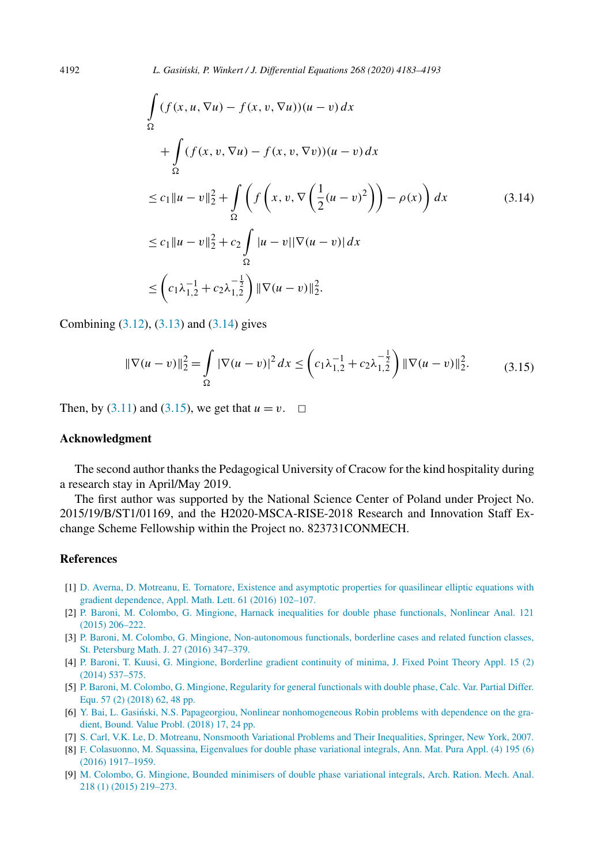<span id="page-9-0"></span>
$$
\int_{\Omega} (f(x, u, \nabla u) - f(x, v, \nabla u))(u - v) dx
$$
\n
$$
+ \int_{\Omega} (f(x, v, \nabla u) - f(x, v, \nabla v))(u - v) dx
$$
\n
$$
\leq c_1 \|u - v\|_2^2 + \int_{\Omega} \left( f\left(x, v, \nabla \left(\frac{1}{2}(u - v)^2\right)\right) - \rho(x) \right) dx \tag{3.14}
$$
\n
$$
\leq c_1 \|u - v\|_2^2 + c_2 \int_{\Omega} |u - v||\nabla (u - v)| dx
$$
\n
$$
\leq \left(c_1 \lambda_{1,2}^{-1} + c_2 \lambda_{1,2}^{-\frac{1}{2}}\right) \|\nabla (u - v)\|_2^2.
$$

Combining  $(3.12)$ ,  $(3.13)$  and  $(3.14)$  gives

$$
\|\nabla(u-v)\|_2^2 = \int_{\Omega} |\nabla(u-v)|^2 dx \leq \left(c_1 \lambda_{1,2}^{-1} + c_2 \lambda_{1,2}^{-\frac{1}{2}}\right) \|\nabla(u-v)\|_2^2.
$$
 (3.15)

Then, by  $(3.11)$  and  $(3.15)$ , we get that  $u = v$ .  $\Box$ 

#### **Acknowledgment**

The second author thanks the Pedagogical University of Cracow for the kind hospitality during a research stay in April/May 2019.

The first author was supported by the National Science Center of Poland under Project No. 2015/19/B/ST1/01169, and the H2020-MSCA-RISE-2018 Research and Innovation Staff Exchange Scheme Fellowship within the Project no. 823731CONMECH.

## **References**

- [1] D. Averna, D. Motreanu, E. Tornatore, Existence and asymptotic properties for [quasilinear](http://refhub.elsevier.com/S0022-0396(19)30504-2/bib417665726E612D4D6F747265616E752D546F726E61746F72652D32303136s1) elliptic equations with gradient [dependence,](http://refhub.elsevier.com/S0022-0396(19)30504-2/bib417665726E612D4D6F747265616E752D546F726E61746F72652D32303136s1) Appl. Math. Lett. 61 (2016) 102–107.
- [2] P. Baroni, M. Colombo, G. Mingione, Harnack inequalities for double phase [functionals,](http://refhub.elsevier.com/S0022-0396(19)30504-2/bib4261726F6E692D436F6C6F6D626F2D4D696E67696F6E652D32303135s1) Nonlinear Anal. 121 (2015) [206–222.](http://refhub.elsevier.com/S0022-0396(19)30504-2/bib4261726F6E692D436F6C6F6D626F2D4D696E67696F6E652D32303135s1)
- [3] P. Baroni, M. Colombo, G. Mingione, [Non-autonomous](http://refhub.elsevier.com/S0022-0396(19)30504-2/bib4261726F6E692D436F6C6F6D626F2D4D696E67696F6E652D32303136s1) functionals, borderline cases and related function classes, St. [Petersburg](http://refhub.elsevier.com/S0022-0396(19)30504-2/bib4261726F6E692D436F6C6F6D626F2D4D696E67696F6E652D32303136s1) Math. J. 27 (2016) 347–379.
- [4] P. Baroni, T. Kuusi, G. Mingione, [Borderline](http://refhub.elsevier.com/S0022-0396(19)30504-2/bib4261726F6E692D4B757373692D4D696E67696F6E652D32303135s1) gradient continuity of minima, J. Fixed Point Theory Appl. 15 (2) (2014) [537–575.](http://refhub.elsevier.com/S0022-0396(19)30504-2/bib4261726F6E692D4B757373692D4D696E67696F6E652D32303135s1)
- [5] P. Baroni, M. Colombo, G. Mingione, Regularity for general [functionals](http://refhub.elsevier.com/S0022-0396(19)30504-2/bib4261726F6E692D436F6C6F6D626F2D4D696E67696F6E652D32303138s1) with double phase, Calc. Var. Partial Differ. Equ. 57 (2) [\(2018\)](http://refhub.elsevier.com/S0022-0396(19)30504-2/bib4261726F6E692D436F6C6F6D626F2D4D696E67696F6E652D32303138s1) 62, 48 pp.
- [6] Y. Bai, L. Gasiński, N.S. Papageorgiou, Nonlinear [nonhomogeneous](http://refhub.elsevier.com/S0022-0396(19)30504-2/bib4261692D476173696E736B692D5061706167656F7267696F752D32303138s1) Robin problems with dependence on the gradient, [Bound.](http://refhub.elsevier.com/S0022-0396(19)30504-2/bib4261692D476173696E736B692D5061706167656F7267696F752D32303138s1) Value Probl. (2018) 17, 24 pp.
- [7] S. Carl, V.K. Le, D. Motreanu, Nonsmooth Variational Problems and Their [Inequalities,](http://refhub.elsevier.com/S0022-0396(19)30504-2/bib4361726C2D4C652D4D6F747265616E752D32303037s1) Springer, New York, 2007.
- [8] F. [Colasuonno,](http://refhub.elsevier.com/S0022-0396(19)30504-2/bib436F6C6173756F6E6E6F2D537175617373696E612D32303136s1) M. Squassina, Eigenvalues for double phase variational integrals, Ann. Mat. Pura Appl. (4) 195 (6) (2016) [1917–1959.](http://refhub.elsevier.com/S0022-0396(19)30504-2/bib436F6C6173756F6E6E6F2D537175617373696E612D32303136s1)
- [9] M. Colombo, G. Mingione, Bounded [minimisers](http://refhub.elsevier.com/S0022-0396(19)30504-2/bib436F6C6F6D626F2D4D696E67696F6E652D3230313561s1) of double phase variational integrals, Arch. Ration. Mech. Anal. 218 (1) (2015) [219–273.](http://refhub.elsevier.com/S0022-0396(19)30504-2/bib436F6C6F6D626F2D4D696E67696F6E652D3230313561s1)